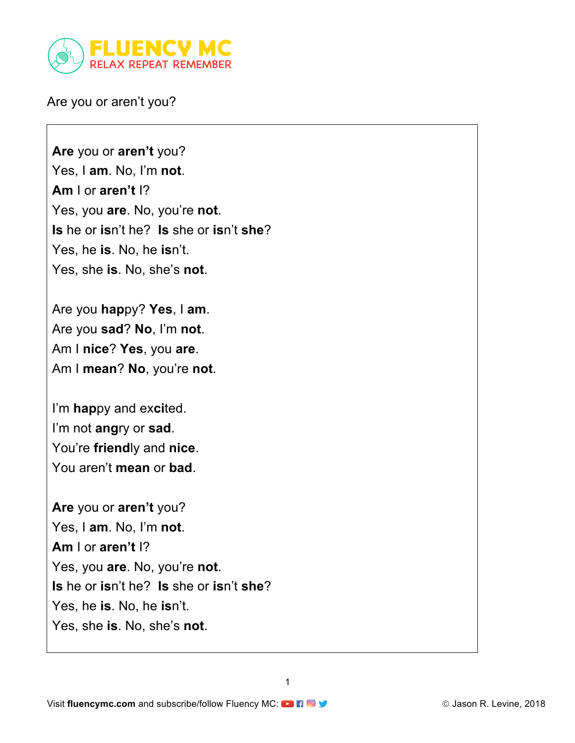

Are you or aren't you?

**Are** you or **aren't** you? Yes, I **am**. No, I'm **not**. **Am** I or **aren't** I? Yes, you **are**. No, you're **not**. **Is** he or **is**n't he? **Is** she or **is**n't **she**? Yes, he **is**. No, he **is**n't. Yes, she **is**. No, she's **not**.

Are you **hap**py? **Yes**, I **am**. Are you **sad**? **No**, I'm **not**. Am I **nice**? **Yes**, you **are**. Am I **mean**? **No**, you're **not**.

I'm **hap**py and ex**ci**ted. I'm not **ang**ry or **sad**. You're **friend**ly and **nice**. You aren't **mean** or **bad**.

**Are** you or **aren't** you? Yes, I **am**. No, I'm **not**. **Am** I or **aren't** I? Yes, you **are**. No, you're **not**. **Is** he or **is**n't he? **Is** she or **is**n't **she**? Yes, he **is**. No, he **is**n't. Yes, she **is**. No, she's **not**.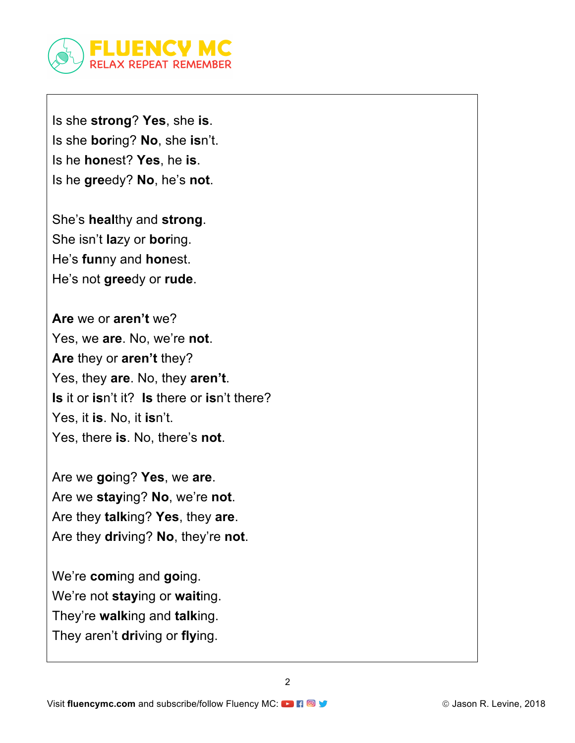

Is she **strong**? **Yes**, she **is**. Is she **bor**ing? **No**, she **is**n't. Is he **hon**est? **Yes**, he **is**. Is he **gre**edy? **No**, he's **not**.

She's **heal**thy and **strong**. She isn't **la**zy or **bor**ing. He's **fun**ny and **hon**est. He's not **gree**dy or **rude**.

**Are** we or **aren't** we? Yes, we **are**. No, we're **not**. **Are** they or **aren't** they? Yes, they **are**. No, they **aren't**. **Is** it or **is**n't it? **Is** there or **is**n't there? Yes, it **is**. No, it **is**n't. Yes, there **is**. No, there's **not**.

Are we **go**ing? **Yes**, we **are**. Are we **stay**ing? **No**, we're **not**. Are they **talk**ing? **Yes**, they **are**. Are they **dri**ving? **No**, they're **not**.

We're **com**ing and **go**ing. We're not **stay**ing or **wait**ing. They're **walk**ing and **talk**ing. They aren't **dri**ving or **fly**ing.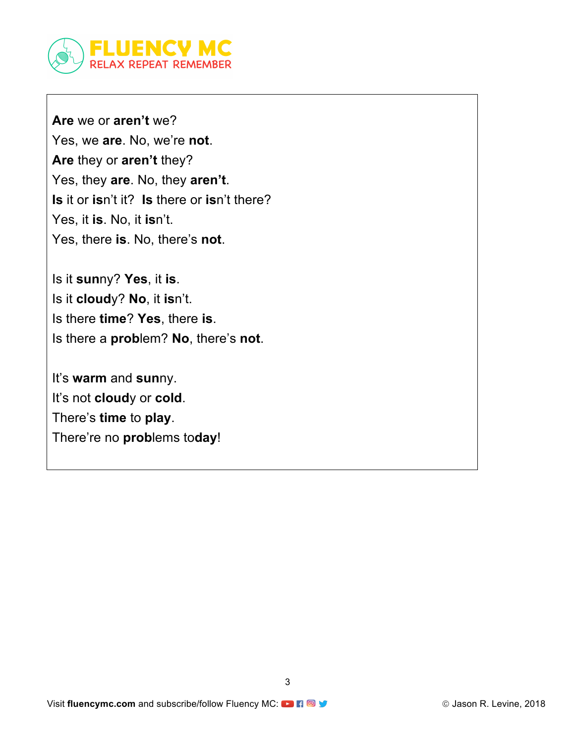

**Are** we or **aren't** we? Yes, we **are**. No, we're **not**. **Are** they or **aren't** they? Yes, they **are**. No, they **aren't**. **Is** it or **is**n't it? **Is** there or **is**n't there? Yes, it **is**. No, it **is**n't. Yes, there **is**. No, there's **not**.

Is it **sun**ny? **Yes**, it **is**. Is it **cloud**y? **No**, it **is**n't. Is there **time**? **Yes**, there **is**. Is there a **prob**lem? **No**, there's **not**.

It's **warm** and **sun**ny. It's not **cloud**y or **cold**. There's **time** to **play**. There're no **prob**lems to**day**!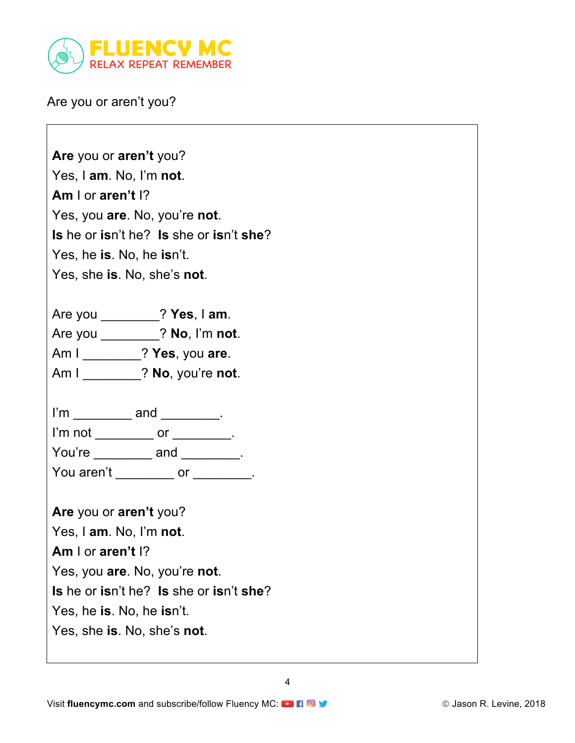

Are you or aren't you?

**Are** you or **aren't** you? Yes, I **am**. No, I'm **not**. **Am** I or **aren't** I? Yes, you **are**. No, you're **not**. **Is** he or **is**n't he? **Is** she or **is**n't **she**? Yes, he **is**. No, he **is**n't. Yes, she **is**. No, she's **not**.

Are you \_\_\_\_\_\_\_\_? **Yes**, I **am**. Are you \_\_\_\_\_\_\_\_? **No**, I'm **not**. Am I \_\_\_\_\_\_\_\_? **Yes**, you **are**. Am I \_\_\_\_\_\_\_\_? **No**, you're **not**.

I'm and . I'm not core that  $\overline{a}$ You're and . You aren't electron or produced by the contract of the set of the set of the set of the set of the set of the set of the set of the set of the set of the set of the set of the set of the set of the set of the set of the se

**Are** you or **aren't** you? Yes, I **am**. No, I'm **not**. **Am** I or **aren't** I? Yes, you **are**. No, you're **not**. **Is** he or **is**n't he? **Is** she or **is**n't **she**? Yes, he **is**. No, he **is**n't. Yes, she **is**. No, she's **not**.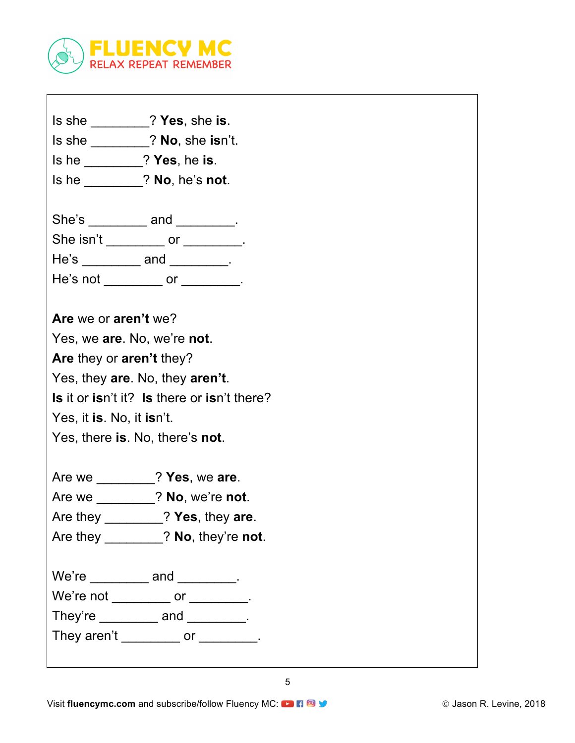

| Is she ________? Yes, she is.               |
|---------------------------------------------|
| Is she ________? No, she isn't.             |
| Is he ________? Yes, he is.                 |
| Is he ________? No, he's not.               |
|                                             |
| She's __________ and ________.              |
| She isn't ___________ or _________.         |
| He's __________ and _________.              |
| He's not _________ or ________.             |
|                                             |
| Are we or aren't we?                        |
| Yes, we are. No, we're not.                 |
| Are they or aren't they?                    |
| Yes, they are. No, they aren't.             |
| Is it or isn't it? Is there or isn't there? |
| Yes, it is. No, it isn't.                   |
| Yes, there is. No, there's not.             |
|                                             |
|                                             |

Are we \_\_\_\_\_\_\_\_? **Yes**, we **are**.

Are we \_\_\_\_\_\_\_\_? **No**, we're **not**.

Are they \_\_\_\_\_\_\_\_? **Yes**, they **are**.

Are they \_\_\_\_\_\_\_\_? **No**, they're **not**.

We're \_\_\_\_\_\_\_\_\_ and \_\_\_\_\_\_\_\_.

We're not \_\_\_\_\_\_\_\_\_ or \_\_\_\_\_\_\_\_.

They're \_\_\_\_\_\_\_\_\_\_ and \_\_\_\_\_\_\_\_\_.

They aren't \_\_\_\_\_\_\_\_\_ or \_\_\_\_\_\_\_\_.